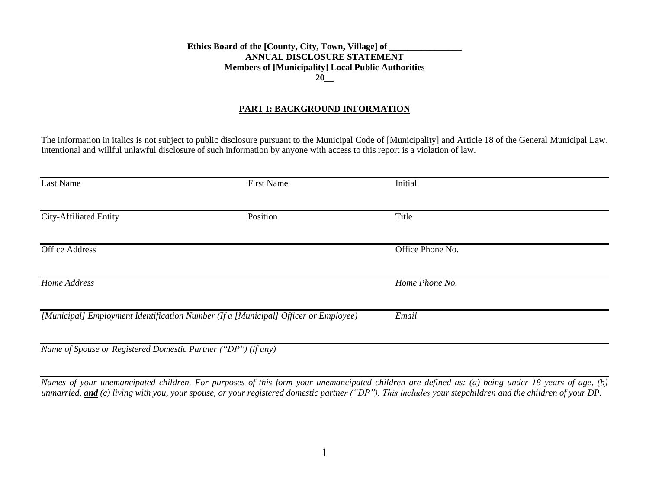## Ethics Board of the [County, City, Town, Village] of **ANNUAL DISCLOSURE STATEMENT Members of [Municipality] Local Public Authorities 20\_\_**

#### **PART I: BACKGROUND INFORMATION**

The information in italics is not subject to public disclosure pursuant to the Municipal Code of [Municipality] and Article 18 of the General Municipal Law. Intentional and willful unlawful disclosure of such information by anyone with access to this report is a violation of law.

| Last Name                                                     | <b>First Name</b>                                                                   | Initial          |  |
|---------------------------------------------------------------|-------------------------------------------------------------------------------------|------------------|--|
| City-Affiliated Entity                                        | Position                                                                            | Title            |  |
| <b>Office Address</b>                                         |                                                                                     | Office Phone No. |  |
| Home Address                                                  |                                                                                     | Home Phone No.   |  |
|                                                               | [Municipal] Employment Identification Number (If a [Municipal] Officer or Employee) | Email            |  |
| Name of Spouse or Registered Domestic Partner ("DP") (if any) |                                                                                     |                  |  |

*Names of your unemancipated children. For purposes of this form your unemancipated children are defined as: (a) being under 18 years of age, (b) unmarried, and (c) living with you, your spouse, or your registered domestic partner ("DP"). This includes your stepchildren and the children of your DP.*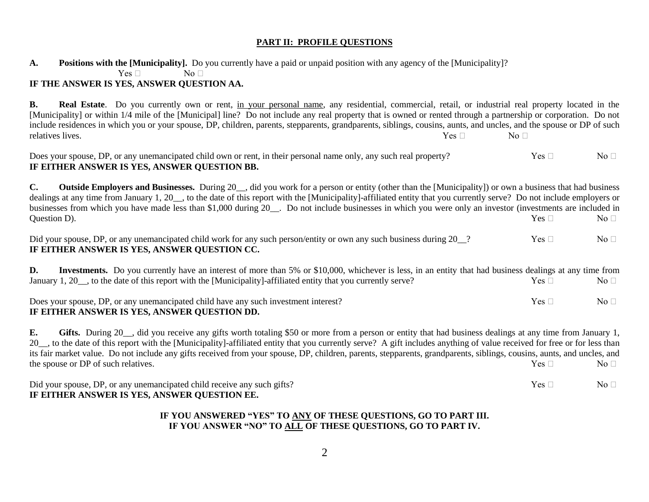## **PART II: PROFILE QUESTIONS**

**A. Positions with the [Municipality].** Do you currently have a paid or unpaid position with any agency of the [Municipality]?

 $Yes \Box$  No  $\Box$ 

# **IF THE ANSWER IS YES, ANSWER QUESTION AA.**

**B. Real Estate**. Do you currently own or rent, in your personal name, any residential, commercial, retail, or industrial real property located in the [Municipality] or within 1/4 mile of the [Municipal] line? Do not include any real property that is owned or rented through a partnership or corporation. Do not include residences in which you or your spouse, DP, children, parents, stepparents, grandparents, siblings, cousins, aunts, and uncles, and the spouse or DP of such relatives lives. No  $\Box$  No  $\Box$ 

| Does your spouse, DP, or any unemancipated child own or rent, in their personal name only, any such real property? | $Yes \Box$ | No <sub>1</sub> |
|--------------------------------------------------------------------------------------------------------------------|------------|-----------------|
| IF EITHER ANSWER IS YES, ANSWER QUESTION BB.                                                                       |            |                 |

**C.** Outside Employers and Businesses. During 20<sub>\_\_</sub>, did you work for a person or entity (other than the [Municipality]) or own a business that had business dealings at any time from January 1, 20 , to the date of this report with the [Municipality]-affiliated entity that you currently serve? Do not include employers or businesses from which you have made less than \$1,000 during 20. Do not include businesses in which you were only an investor (investments are included in Question D). So  $\Box$  No  $\Box$  No  $\Box$  No  $\Box$ 

| Did your spouse, DP, or any unemancipated child work for any such person/entity or own any such business during 20_? | $Yes \sqcap$ | No <sub>1</sub> |
|----------------------------------------------------------------------------------------------------------------------|--------------|-----------------|
| IF EITHER ANSWER IS YES, ANSWER QUESTION CC.                                                                         |              |                 |

**D.** Investments. Do you currently have an interest of more than 5% or \$10,000, whichever is less, in an entity that had business dealings at any time from January 1, 20<sub>\_\_</sub>, to the date of this report with the [Municipality]-affiliated entity that you currently serve? Yes  $\Box$  No  $\Box$ 

| Does your spouse, DP, or any unemancipated child have any such investment interest? | Yes <sub>1</sub> | No <sub>1</sub> |
|-------------------------------------------------------------------------------------|------------------|-----------------|
| IF EITHER ANSWER IS YES, ANSWER QUESTION DD.                                        |                  |                 |

**E. Gifts.** During 20\_\_, did you receive any gifts worth totaling \$50 or more from a person or entity that had business dealings at any time from January 1, 20<sub>\_\_</sub>, to the date of this report with the [Municipality]-affiliated entity that you currently serve? A gift includes anything of value received for free or for less than its fair market value. Do not include any gifts received from your spouse, DP, children, parents, stepparents, grandparents, siblings, cousins, aunts, and uncles, and the spouse or DP of such relatives. No  $\Box$  No  $\Box$ 

Did your spouse, DP, or any unemancipated child receive any such gifts? Yes  $\Box$  Yes  $\Box$  No  $\Box$ **IF EITHER ANSWER IS YES, ANSWER QUESTION EE.**

# **IF YOU ANSWERED "YES" TO ANY OF THESE QUESTIONS, GO TO PART III. IF YOU ANSWER "NO" TO ALL OF THESE QUESTIONS, GO TO PART IV.**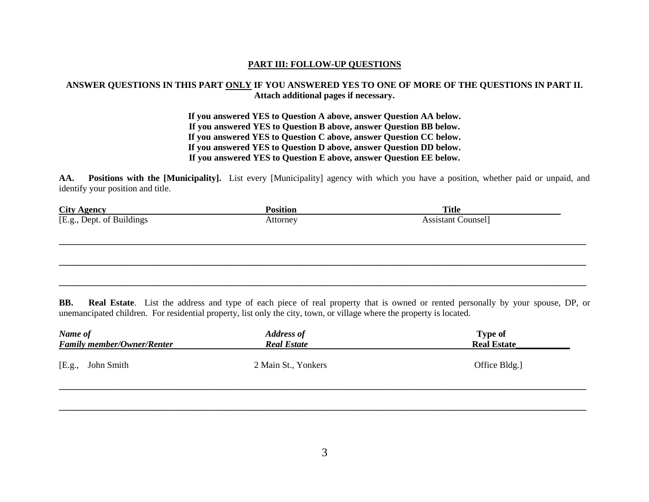## **PART III: FOLLOW-UP QUESTIONS**

# **ANSWER QUESTIONS IN THIS PART ONLY IF YOU ANSWERED YES TO ONE OF MORE OF THE QUESTIONS IN PART II. Attach additional pages if necessary.**

**If you answered YES to Question A above, answer Question AA below. If you answered YES to Question B above, answer Question BB below. If you answered YES to Question C above, answer Question CC below. If you answered YES to Question D above, answer Question DD below. If you answered YES to Question E above, answer Question EE below.**

**AA. Positions with the [Municipality].** List every [Municipality] agency with which you have a position, whether paid or unpaid, and identify your position and title.

|                                                  | <b>Position</b> | <b>Title</b>              |  |
|--------------------------------------------------|-----------------|---------------------------|--|
| <b>City Agency</b><br>[E.g., Dept. of Buildings] | Attorney        | <b>Assistant Counsel]</b> |  |
|                                                  |                 |                           |  |
|                                                  |                 |                           |  |
|                                                  |                 |                           |  |
|                                                  |                 |                           |  |
|                                                  |                 |                           |  |
|                                                  |                 |                           |  |

**BB. Real Estate**. List the address and type of each piece of real property that is owned or rented personally by your spouse, DP, or unemancipated children. For residential property, list only the city, town, or village where the property is located.

| Name of<br><b>Family member/Owner/Renter</b> | <b>Address of</b><br><b>Real Estate</b> | <b>Type of</b><br><b>Real Estate</b> |
|----------------------------------------------|-----------------------------------------|--------------------------------------|
| [E.g., John Smith]                           | 2 Main St., Yonkers                     | Office Bldg.]                        |
|                                              |                                         |                                      |

**\_\_\_\_\_\_\_\_\_\_\_\_\_\_\_\_\_\_\_\_\_\_\_\_\_\_\_\_\_\_\_\_\_\_\_\_\_\_\_\_\_\_\_\_\_\_\_\_\_\_\_\_\_\_\_\_\_\_\_\_\_\_\_\_\_\_\_\_\_\_\_\_\_\_\_\_\_\_\_\_\_\_\_\_\_\_\_\_\_\_\_\_\_\_\_\_\_\_\_\_\_\_\_\_\_\_\_\_\_\_\_\_\_\_\_\_\_**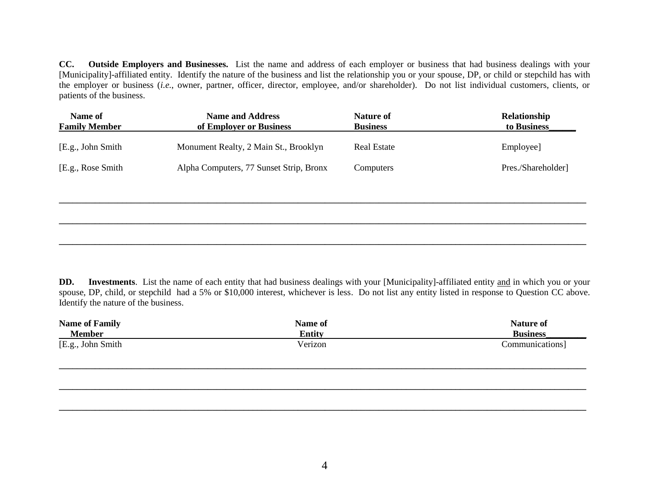**CC. Outside Employers and Businesses.** List the name and address of each employer or business that had business dealings with your [Municipality]-affiliated entity. Identify the nature of the business and list the relationship you or your spouse, DP, or child or stepchild has with the employer or business (*i.e.*, owner, partner, officer, director, employee, and/or shareholder). Do not list individual customers, clients, or patients of the business.

| Name of<br><b>Name and Address</b><br><b>Family Member</b><br>of Employer or Business |                                         | <b>Nature of</b><br><b>Business</b> | Relationship<br>to Business |
|---------------------------------------------------------------------------------------|-----------------------------------------|-------------------------------------|-----------------------------|
| [E.g., John Smith]                                                                    | Monument Realty, 2 Main St., Brooklyn   | <b>Real Estate</b>                  | Employee]                   |
| [E.g., Rose Smith]                                                                    | Alpha Computers, 77 Sunset Strip, Bronx | Computers                           | Pres./Shareholder]          |
|                                                                                       |                                         |                                     |                             |
|                                                                                       |                                         |                                     |                             |
|                                                                                       |                                         |                                     |                             |

**DD. Investments**. List the name of each entity that had business dealings with your [Municipality]-affiliated entity and in which you or your spouse, DP, child, or stepchild had a 5% or \$10,000 interest, whichever is less. Do not list any entity listed in response to Question CC above. Identify the nature of the business.

**\_\_\_\_\_\_\_\_\_\_\_\_\_\_\_\_\_\_\_\_\_\_\_\_\_\_\_\_\_\_\_\_\_\_\_\_\_\_\_\_\_\_\_\_\_\_\_\_\_\_\_\_\_\_\_\_\_\_\_\_\_\_\_\_\_\_\_\_\_\_\_\_\_\_\_\_\_\_\_\_\_\_\_\_\_\_\_\_\_\_\_\_\_\_\_\_\_\_\_\_\_\_\_\_\_\_\_\_\_\_\_\_\_\_\_\_\_**

| <b>Name of Family</b> | Name of       | <b>Nature of</b> |
|-----------------------|---------------|------------------|
| <b>Member</b>         | <b>Entity</b> | <b>Business</b>  |
| [E.g., John Smith]    | Verizon       | Communications]  |
|                       |               |                  |

**\_\_\_\_\_\_\_\_\_\_\_\_\_\_\_\_\_\_\_\_\_\_\_\_\_\_\_\_\_\_\_\_\_\_\_\_\_\_\_\_\_\_\_\_\_\_\_\_\_\_\_\_\_\_\_\_\_\_\_\_\_\_\_\_\_\_\_\_\_\_\_\_\_\_\_\_\_\_\_\_\_\_\_\_\_\_\_\_\_\_\_\_\_\_\_\_\_\_\_\_\_\_\_\_\_\_\_\_\_\_\_\_\_\_\_\_\_**

**\_\_\_\_\_\_\_\_\_\_\_\_\_\_\_\_\_\_\_\_\_\_\_\_\_\_\_\_\_\_\_\_\_\_\_\_\_\_\_\_\_\_\_\_\_\_\_\_\_\_\_\_\_\_\_\_\_\_\_\_\_\_\_\_\_\_\_\_\_\_\_\_\_\_\_\_\_\_\_\_\_\_\_\_\_\_\_\_\_\_\_\_\_\_\_\_\_\_\_\_\_\_\_\_\_\_\_\_\_\_\_\_\_\_\_\_\_**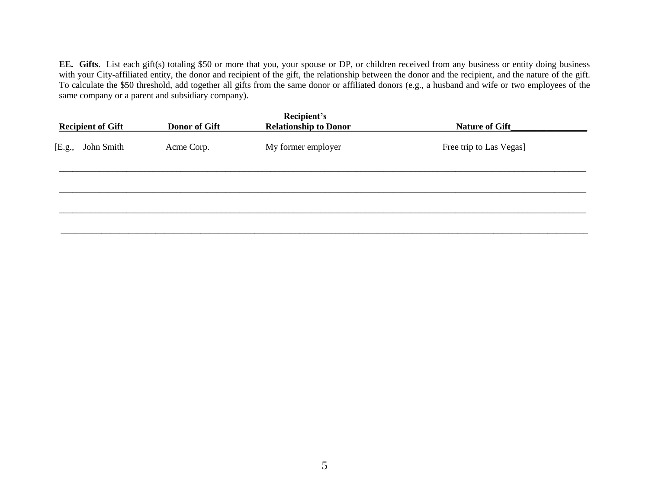**EE. Gifts**. List each gift(s) totaling \$50 or more that you, your spouse or DP, or children received from any business or entity doing business with your City-affiliated entity, the donor and recipient of the gift, the relationship between the donor and the recipient, and the nature of the gift. To calculate the \$50 threshold, add together all gifts from the same donor or affiliated donors (e.g., a husband and wife or two employees of the same company or a parent and subsidiary company).

| <b>Recipient of Gift</b> | <b>Donor of Gift</b> | Recipient's<br><b>Relationship to Donor</b> | Nature of Gift          |
|--------------------------|----------------------|---------------------------------------------|-------------------------|
| John Smith<br>[E.g.,     | Acme Corp.           | My former employer                          | Free trip to Las Vegas] |
|                          |                      |                                             |                         |
|                          |                      |                                             |                         |
|                          |                      |                                             |                         |
|                          |                      |                                             |                         |
|                          |                      |                                             |                         |